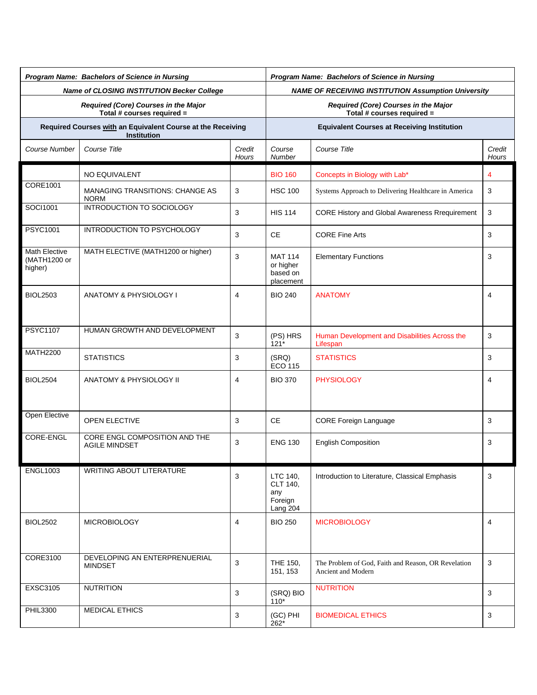| Program Name: Bachelors of Science in Nursing                                     |                                                       |                 | Program Name: Bachelors of Science in Nursing                      |                                                                           |                        |  |  |
|-----------------------------------------------------------------------------------|-------------------------------------------------------|-----------------|--------------------------------------------------------------------|---------------------------------------------------------------------------|------------------------|--|--|
| Name of CLOSING INSTITUTION Becker College                                        |                                                       |                 | <b>NAME OF RECEIVING INSTITUTION Assumption University</b>         |                                                                           |                        |  |  |
| Required (Core) Courses in the Major<br>Total # courses required =                |                                                       |                 | Required (Core) Courses in the Major<br>Total # courses required = |                                                                           |                        |  |  |
| Required Courses with an Equivalent Course at the Receiving<br><b>Institution</b> |                                                       |                 | <b>Equivalent Courses at Receiving Institution</b>                 |                                                                           |                        |  |  |
| Course Number                                                                     | Course Title                                          | Credit<br>Hours | Course<br>Number                                                   | Course Title                                                              | Credit<br><b>Hours</b> |  |  |
|                                                                                   | NO EQUIVALENT                                         |                 | <b>BIO 160</b>                                                     | Concepts in Biology with Lab*                                             | 4                      |  |  |
| CORE1001                                                                          | <b>MANAGING TRANSITIONS: CHANGE AS</b><br><b>NORM</b> | 3               | <b>HSC 100</b>                                                     | Systems Approach to Delivering Healthcare in America                      | 3                      |  |  |
| SOCI1001                                                                          | INTRODUCTION TO SOCIOLOGY                             | 3               | <b>HIS 114</b>                                                     | CORE History and Global Awareness Rrequirement                            | 3                      |  |  |
| <b>PSYC1001</b>                                                                   | INTRODUCTION TO PSYCHOLOGY                            | 3               | <b>CE</b>                                                          | <b>CORE Fine Arts</b>                                                     | 3                      |  |  |
| <b>Math Elective</b><br>(MATH1200 or<br>higher)                                   | MATH ELECTIVE (MATH1200 or higher)                    | 3               | <b>MAT 114</b><br>or higher<br>based on<br>placement               | <b>Elementary Functions</b>                                               | 3                      |  |  |
| <b>BIOL2503</b>                                                                   | ANATOMY & PHYSIOLOGY I                                | 4               | <b>BIO 240</b>                                                     | <b>ANATOMY</b>                                                            | 4                      |  |  |
| <b>PSYC1107</b>                                                                   | HUMAN GROWTH AND DEVELOPMENT                          | 3               | (PS) HRS<br>$121*$                                                 | Human Development and Disabilities Across the<br>Lifespan                 | 3                      |  |  |
| <b>MATH2200</b>                                                                   | <b>STATISTICS</b>                                     | 3               | (SRQ)<br><b>ECO 115</b>                                            | <b>STATISTICS</b>                                                         | 3                      |  |  |
| <b>BIOL2504</b>                                                                   | <b>ANATOMY &amp; PHYSIOLOGY II</b>                    | 4               | <b>BIO 370</b>                                                     | <b>PHYSIOLOGY</b>                                                         | 4                      |  |  |
| Open Elective                                                                     | <b>OPEN ELECTIVE</b>                                  | 3               | <b>CE</b>                                                          | CORE Foreign Language                                                     | 3                      |  |  |
| CORE-ENGL                                                                         | CORE ENGL COMPOSITION AND THE<br><b>AGILE MINDSET</b> | 3               | <b>ENG 130</b>                                                     | <b>English Composition</b>                                                | 3                      |  |  |
| <b>ENGL1003</b>                                                                   | <b>WRITING ABOUT LITERATURE</b>                       | 3               | LTC 140,<br>CLT 140,<br>any<br>Foreign<br>Lang 204                 | Introduction to Literature, Classical Emphasis                            | 3                      |  |  |
| <b>BIOL2502</b>                                                                   | <b>MICROBIOLOGY</b>                                   | 4               | <b>BIO 250</b>                                                     | <b>MICROBIOLOGY</b>                                                       | 4                      |  |  |
| <b>CORE3100</b>                                                                   | DEVELOPING AN ENTERPRENUERIAL<br><b>MINDSET</b>       | 3               | THE 150,<br>151, 153                                               | The Problem of God, Faith and Reason, OR Revelation<br>Ancient and Modern | 3                      |  |  |
| <b>EXSC3105</b>                                                                   | <b>NUTRITION</b>                                      | 3               | (SRQ) BIO<br>$110*$                                                | <b>NUTRITION</b><br>3                                                     |                        |  |  |
| <b>PHIL3300</b>                                                                   | <b>MEDICAL ETHICS</b>                                 | 3               | (GC) PHI<br>262*                                                   | <b>BIOMEDICAL ETHICS</b>                                                  | 3                      |  |  |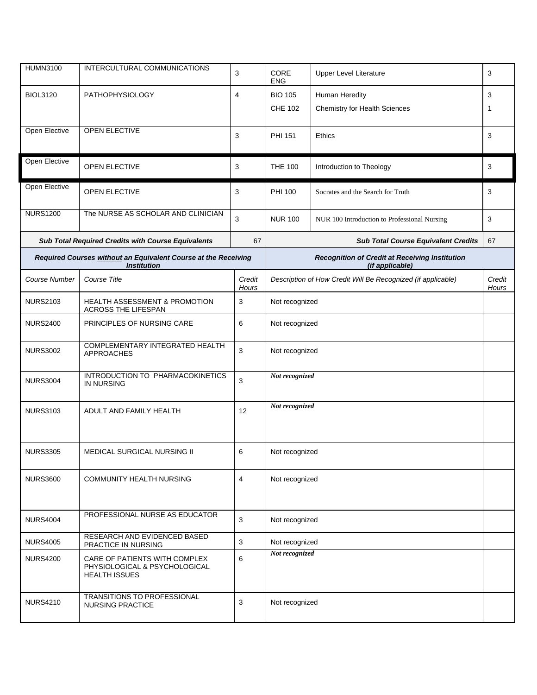| <b>HUMN3100</b>                                                                      | INTERCULTURAL COMMUNICATIONS                                                           | 3               | CORE<br><b>Upper Level Literature</b><br><b>ENG</b>                      |                                      | 3 |  |
|--------------------------------------------------------------------------------------|----------------------------------------------------------------------------------------|-----------------|--------------------------------------------------------------------------|--------------------------------------|---|--|
| <b>BIOL3120</b>                                                                      | <b>PATHOPHYSIOLOGY</b>                                                                 | 4               | <b>BIO 105</b><br>Human Heredity                                         |                                      | 3 |  |
|                                                                                      |                                                                                        |                 | <b>CHE 102</b>                                                           | <b>Chemistry for Health Sciences</b> | 1 |  |
| Open Elective                                                                        | OPEN ELECTIVE                                                                          | 3               | <b>PHI 151</b><br>Ethics                                                 |                                      | 3 |  |
| Open Elective                                                                        | OPEN ELECTIVE                                                                          | 3               | <b>THE 100</b><br>Introduction to Theology                               |                                      | 3 |  |
| Open Elective                                                                        | OPEN ELECTIVE                                                                          | 3               | PHI 100                                                                  | Socrates and the Search for Truth    | 3 |  |
| <b>NURS1200</b>                                                                      | The NURSE AS SCHOLAR AND CLINICIAN                                                     | 3               | <b>NUR 100</b><br>NUR 100 Introduction to Professional Nursing           |                                      | 3 |  |
|                                                                                      | Sub Total Required Credits with Course Equivalents                                     | 67              | <b>Sub Total Course Equivalent Credits</b>                               |                                      |   |  |
| Required Courses without an Equivalent Course at the Receiving<br><b>Institution</b> |                                                                                        |                 | <b>Recognition of Credit at Receiving Institution</b><br>(if applicable) |                                      |   |  |
| Course Number                                                                        | Course Title                                                                           | Credit<br>Hours | Description of How Credit Will Be Recognized (if applicable)             |                                      |   |  |
| <b>NURS2103</b>                                                                      | <b>HEALTH ASSESSMENT &amp; PROMOTION</b><br>ACROSS THE LIFESPAN                        | 3               | Not recognized                                                           |                                      |   |  |
| <b>NURS2400</b>                                                                      | PRINCIPLES OF NURSING CARE                                                             | 6               | Not recognized                                                           |                                      |   |  |
| <b>NURS3002</b>                                                                      | COMPLEMENTARY INTEGRATED HEALTH<br>APPROACHES                                          | 3               | Not recognized                                                           |                                      |   |  |
| <b>NURS3004</b>                                                                      | INTRODUCTION TO PHARMACOKINETICS<br><b>IN NURSING</b>                                  | 3               | Not recognized                                                           |                                      |   |  |
| <b>NURS3103</b>                                                                      | ADULT AND FAMILY HEALTH                                                                | 12              | Not recognized                                                           |                                      |   |  |
| <b>NURS3305</b>                                                                      | <b>MEDICAL SURGICAL NURSING II</b>                                                     | 6               | Not recognized                                                           |                                      |   |  |
| <b>NURS3600</b>                                                                      | <b>COMMUNITY HEALTH NURSING</b>                                                        | $\overline{4}$  | Not recognized                                                           |                                      |   |  |
| <b>NURS4004</b>                                                                      | PROFESSIONAL NURSE AS EDUCATOR                                                         | 3               | Not recognized                                                           |                                      |   |  |
| <b>NURS4005</b>                                                                      | RESEARCH AND EVIDENCED BASED<br>PRACTICE IN NURSING                                    | 3               | Not recognized                                                           |                                      |   |  |
| <b>NURS4200</b>                                                                      | CARE OF PATIENTS WITH COMPLEX<br>PHYSIOLOGICAL & PSYCHOLOGICAL<br><b>HEALTH ISSUES</b> | 6               | Not recognized                                                           |                                      |   |  |
| <b>NURS4210</b>                                                                      | TRANSITIONS TO PROFESSIONAL<br><b>NURSING PRACTICE</b>                                 | 3               | Not recognized                                                           |                                      |   |  |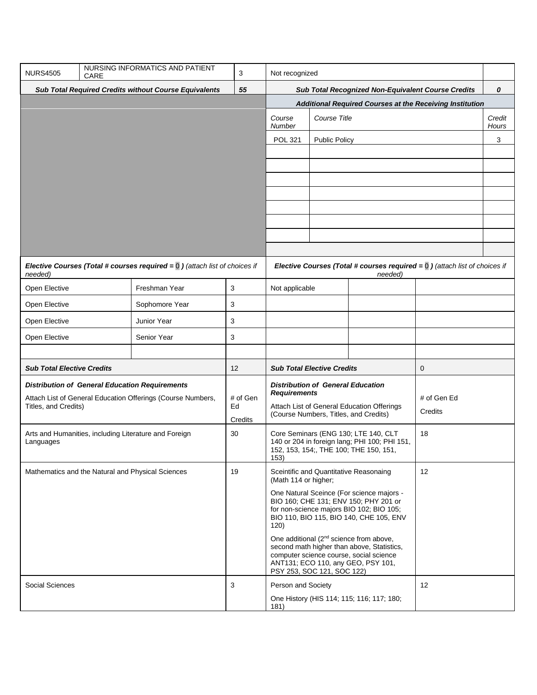| <b>NURS4505</b>                                                    | CARE | NURSING INFORMATICS AND PATIENT                                                          | 3             | Not recognized                                                                                                                                                                                                   |                                                                                          |  |                |                 |
|--------------------------------------------------------------------|------|------------------------------------------------------------------------------------------|---------------|------------------------------------------------------------------------------------------------------------------------------------------------------------------------------------------------------------------|------------------------------------------------------------------------------------------|--|----------------|-----------------|
| <b>Sub Total Required Credits without Course Equivalents</b><br>55 |      |                                                                                          |               | Sub Total Recognized Non-Equivalent Course Credits                                                                                                                                                               |                                                                                          |  |                | 0               |
|                                                                    |      |                                                                                          |               | Additional Required Courses at the Receiving Institution                                                                                                                                                         |                                                                                          |  |                |                 |
|                                                                    |      |                                                                                          |               | Course<br>Number                                                                                                                                                                                                 | Course Title                                                                             |  |                | Credit<br>Hours |
|                                                                    |      |                                                                                          |               | <b>POL 321</b>                                                                                                                                                                                                   | <b>Public Policy</b>                                                                     |  |                | 3               |
|                                                                    |      |                                                                                          |               |                                                                                                                                                                                                                  |                                                                                          |  |                |                 |
|                                                                    |      |                                                                                          |               |                                                                                                                                                                                                                  |                                                                                          |  |                |                 |
|                                                                    |      |                                                                                          |               |                                                                                                                                                                                                                  |                                                                                          |  |                |                 |
|                                                                    |      |                                                                                          |               |                                                                                                                                                                                                                  |                                                                                          |  |                |                 |
|                                                                    |      |                                                                                          |               |                                                                                                                                                                                                                  |                                                                                          |  |                |                 |
|                                                                    |      |                                                                                          |               |                                                                                                                                                                                                                  |                                                                                          |  |                |                 |
|                                                                    |      |                                                                                          |               |                                                                                                                                                                                                                  |                                                                                          |  |                |                 |
|                                                                    |      |                                                                                          |               |                                                                                                                                                                                                                  |                                                                                          |  |                |                 |
| needed)                                                            |      | Elective Courses (Total # courses required = $\overline{0}$ ) (attach list of choices if |               |                                                                                                                                                                                                                  | Elective Courses (Total # courses required = $\overline{0}$ ) (attach list of choices if |  |                |                 |
| Open Elective                                                      |      | Freshman Year                                                                            | 3             | Not applicable                                                                                                                                                                                                   |                                                                                          |  |                |                 |
| Open Elective                                                      |      | Sophomore Year                                                                           | 3             |                                                                                                                                                                                                                  |                                                                                          |  |                |                 |
| Open Elective                                                      |      | Junior Year                                                                              | 3             |                                                                                                                                                                                                                  |                                                                                          |  |                |                 |
| Open Elective                                                      |      | Senior Year                                                                              | 3             |                                                                                                                                                                                                                  |                                                                                          |  |                |                 |
|                                                                    |      |                                                                                          |               |                                                                                                                                                                                                                  |                                                                                          |  |                |                 |
| <b>Sub Total Elective Credits</b>                                  |      |                                                                                          | 12            | <b>Sub Total Elective Credits</b><br>0                                                                                                                                                                           |                                                                                          |  |                |                 |
|                                                                    |      | <b>Distribution of General Education Requirements</b>                                    |               | <b>Distribution of General Education</b>                                                                                                                                                                         |                                                                                          |  |                |                 |
|                                                                    |      | Attach List of General Education Offerings (Course Numbers,                              | # of Gen      | <b>Requirements</b><br># of Gen Ed                                                                                                                                                                               |                                                                                          |  |                |                 |
| Titles, and Credits)                                               |      |                                                                                          | Ed<br>Credits | Attach List of General Education Offerings<br>(Course Numbers, Titles, and Credits)                                                                                                                              |                                                                                          |  | <b>Credits</b> |                 |
|                                                                    |      |                                                                                          | 30            | Core Seminars (ENG 130; LTE 140, CLT<br>18                                                                                                                                                                       |                                                                                          |  |                |                 |
| Arts and Humanities, including Literature and Foreign<br>Languages |      |                                                                                          |               | 140 or 204 in foreign lang; PHI 100; PHI 151,<br>152, 153, 154;, THE 100; THE 150, 151,<br>153)                                                                                                                  |                                                                                          |  |                |                 |
| Mathematics and the Natural and Physical Sciences                  |      |                                                                                          | 19            | Sceintific and Quantitative Reasonaing<br>(Math 114 or higher;                                                                                                                                                   |                                                                                          |  | 12             |                 |
|                                                                    |      |                                                                                          |               | One Natural Sceince (For science majors -<br>BIO 160; CHE 131; ENV 150; PHY 201 or<br>for non-science majors BIO 102; BIO 105;<br>BIO 110, BIO 115, BIO 140, CHE 105, ENV<br>120)                                |                                                                                          |  |                |                 |
|                                                                    |      |                                                                                          |               | One additional (2 <sup>nd</sup> science from above,<br>second math higher than above, Statistics,<br>computer science course, social science<br>ANT131; ECO 110, any GEO, PSY 101,<br>PSY 253, SOC 121, SOC 122) |                                                                                          |  |                |                 |
| 3<br>Social Sciences                                               |      |                                                                                          |               | 12<br>Person and Society                                                                                                                                                                                         |                                                                                          |  |                |                 |
|                                                                    |      |                                                                                          |               | One History (HIS 114; 115; 116; 117; 180;<br>181)                                                                                                                                                                |                                                                                          |  |                |                 |